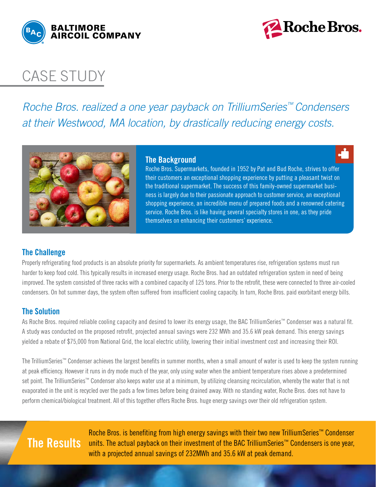



## case study

*Roche Bros. realized a one year payback on TrilliumSeries™ Condensers at their Westwood, MA location, by drastically reducing energy costs.* 



#### **The Background**

Roche Bros. Supermarkets, founded in 1952 by Pat and Bud Roche, strives to offer their customers an exceptional shopping experience by putting a pleasant twist on the traditional supermarket. The success of this family-owned supermarket business is largely due to their passionate approach to customer service, an exceptional shopping experience, an incredible menu of prepared foods and a renowned catering service. Roche Bros. is like having several specialty stores in one, as they pride themselves on enhancing their customers' experience.

### **The Challenge**

Properly refrigerating food products is an absolute priority for supermarkets. As ambient temperatures rise, refrigeration systems must run harder to keep food cold. This typically results in increased energy usage. Roche Bros. had an outdated refrigeration system in need of being improved. The system consisted of three racks with a combined capacity of 125 tons. Prior to the retrofit, these were connected to three air-cooled condensers. On hot summer days, the system often suffered from insufficient cooling capacity. In turn, Roche Bros. paid exorbitant energy bills.

### **The Solution**

As Roche Bros. required reliable cooling capacity and desired to lower its energy usage, the BAC TrilliumSeries™ Condenser was a natural fit. A study was conducted on the proposed retrofit, projected annual savings were 232 MWh and 35.6 kW peak demand. This energy savings yielded a rebate of \$75,000 from National Grid, the local electric utility, lowering their initial investment cost and increasing their ROI.

The TrilliumSeries™ Condenser achieves the largest benefits in summer months, when a small amount of water is used to keep the system running at peak efficiency. However it runs in dry mode much of the year, only using water when the ambient temperature rises above a predetermined set point. The TrilliumSeries™ Condenser also keeps water use at a minimum, by utilizing cleansing recirculation, whereby the water that is not evaporated in the unit is recycled over the pads a few times before being drained away. With no standing water, Roche Bros. does not have to perform chemical/biological treatment. All of this together offers Roche Bros. huge energy savings over their old refrigeration system.

# **The Results**

Roche Bros. is benefiting from high energy savings with their two new TrilliumSeries™ Condenser units. The actual payback on their investment of the BAC TrilliumSeries™ Condensers is one year, with a projected annual savings of 232MWh and 35.6 kW at peak demand.